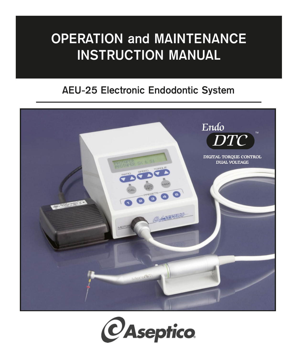# **OPERATION and MAINTENANCE INSTRUCTION MANUAL**

# **AEU-25 Electronic Endodontic System**



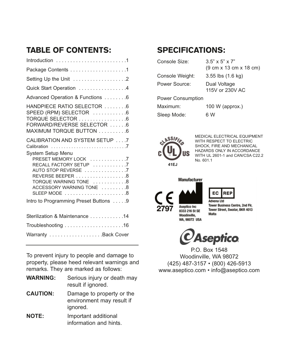# TABLE OF CONTENTS:

| Package Contents 1                                                                                                                                                                  |
|-------------------------------------------------------------------------------------------------------------------------------------------------------------------------------------|
| Setting Up the Unit 2                                                                                                                                                               |
| Quick Start Operation 4                                                                                                                                                             |
| Advanced Operation & Functions 6                                                                                                                                                    |
| HANDPIECE RATIO SELECTOR 6<br>SPEED (RPM) SELECTOR 6<br>TORQUE SELECTOR 6<br>FORWARD/REVERSE SELECTOR 6<br>MAXIMUM TORQUE BUTTON 6                                                  |
| CALIBRATION AND SYSTEM SETUP 7                                                                                                                                                      |
| System Setup Menu<br>PRESET MEMORY LOCK 7<br>RECALL FACTORY SETUP 7<br>AUTO STOP REVERSE 7<br>REVERSE BEEPER 8<br>TORQUE WARNING TONE 8<br>ACCESSORY WARNING TONE 8<br>SLEEP MODE 8 |
| Intro to Programming Preset Buttons 9                                                                                                                                               |
| Sterilization & Maintenance 14                                                                                                                                                      |
|                                                                                                                                                                                     |
| Warranty Back Cover                                                                                                                                                                 |

To prevent injury to people and damage to property, please heed relevant warnings and remarks. They are marked as follows:

- **WARNING:** Serious injury or death may result if ignored. **CAUTION:** Damage to property or the environment may result if ignored. **NOTE:** Important additional
- information and hints.

# SPECIFICATIONS:

| Console Size:     | $3.5" \times 5" \times 7"$<br>$(9 \text{ cm} \times 13 \text{ cm} \times 18 \text{ cm})$ |
|-------------------|------------------------------------------------------------------------------------------|
| Console Weight:   | $3.55$ lbs $(1.6 \text{ kg})$                                                            |
| Power Source:     | Dual Voltage<br>115V or 230V AC                                                          |
| Power Consumption |                                                                                          |
| Maximum:          | $100 W$ (approx.)                                                                        |
| Sleep Mode:       | 6 W                                                                                      |



MEDICAL ELECTRICAL EQUIPMENT WITH RESPECT TO ELECTRIC SHOCK, FIRE AND MECHANICAL HAZARDS ONLY IN ACCORDANCE WITH UL 2601-1 and CAN/CSA C22.2 No. 601.1



ht I gneuh∆ **Tower Business Centre, 2nd Flr.** Tower Street, Swatar, BKR 4013 **Malta** 

**REF** 

**Aseptico** 

EC

P.O. Box 1548 Woodinville, WA 98072 (425) 487-3157 • (800) 426-5913 www.aseptico.com • info@aseptico.com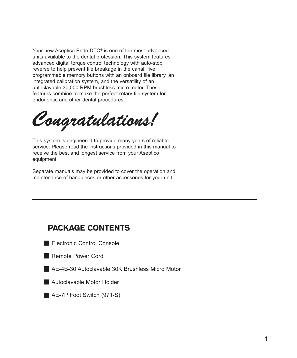Your new Aseptico Endo DTC® is one of the most advanced units available to the dental profession. This system features advanced digital torque control technology with auto-stop reverse to help prevent file breakage in the canal, five programmable memory buttons with an onboard file library, an integrated calibration system, and the versatility of an autoclavable 30,000 RPM brushless micro motor. These features combine to make the perfect rotary file system for endodontic and other dental procedures.

*Congratulations!*

This system is engineered to provide many years of reliable service. Please read the instructions provided in this manual to receive the best and longest service from your Aseptico equipment.

Separate manuals may be provided to cover the operation and maintenance of handpieces or other accessories for your unit.

| <b>PACKAGE CONTENTS</b>                           |
|---------------------------------------------------|
| Electronic Control Console                        |
| Remote Power Cord                                 |
| ■ AE-4B-30 Autoclavable 30K Brushless Micro Motor |
| Autoclavable Motor Holder                         |
| $\blacksquare$ AE-7P Foot Switch (971-S)          |
|                                                   |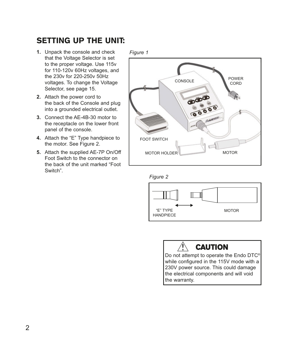# SETTING UP THE UNIT:

- **1.** Unpack the console and check that the Voltage Selector is set to the proper voltage. Use 115v for 110-120v 60Hz voltages, and the 230v for 220-250v 50Hz voltages. To change the Voltage Selector, see page 15.
- **2.** Attach the power cord to the back of the Console and plug into a grounded electrical outlet.
- **3.** Connect the AE-4B-30 motor to the receptacle on the lower front panel of the console.
- **4.** Attach the "E" Type handpiece to the motor. See Figure 2.
- **5.** Attach the supplied AE-7P On/Off Foot Switch to the connector on the back of the unit marked "Foot Switch".

*Figure 1*



*Figure 2*





Do not attempt to operate the Endo DTC® while configured in the 115V mode with a 230V power source. This could damage the electrical components and will void the warranty.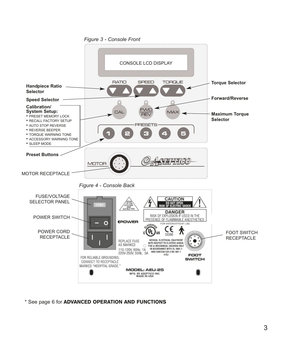

\* See page 6 for ADVANCED OPERATION AND FUNCTIONS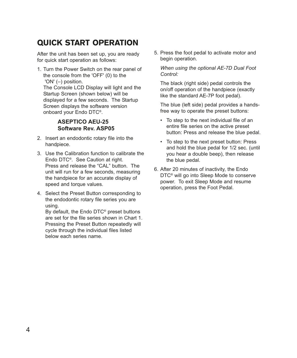# QUICK START OPERATION

After the unit has been set up, you are ready for quick start operation as follows:

1. Turn the Power Switch on the rear panel of the console from the 'OFF' (0) to the 'ON'  $(-)$  position.

The Console LCD Display will light and the Startup Screen (shown below) will be displayed for a few seconds. The Startup Screen displays the software version onboard your Endo DTC®.

### **ASEPTICO AEU-25 Software Rev. ASP05**

- 2. Insert an endodontic rotary file into the handpiece.
- 3. Use the Calibration function to calibrate the Endo DTC®. See Caution at right. Press and release the "CAL" button. The unit will run for a few seconds, measuring the handpiece for an accurate display of speed and torque values.
- 4. Select the Preset Button corresponding to the endodontic rotary file series you are using.

By default, the Endo DTC® preset buttons are set for the file series shown in Chart 1. Pressing the Preset Button repeatedly will cycle through the individual files listed below each series name.

5. Press the foot pedal to activate motor and begin operation.

*When using the optional AE-7D Dual Foot Control:*

The black (right side) pedal controls the on/off operation of the handpiece (exactly like the standard AE-7P foot pedal).

The blue (left side) pedal provides a handsfree way to operate the preset buttons:

- To step to the next individual file of an entire file series on the active preset button: Press and release the blue pedal.
- To step to the next preset button: Press and hold the blue pedal for 1/2 sec. (until you hear a double beep), then release the blue pedal.
- 6. After 20 minutes of inactivity, the Endo DTC® will go into Sleep Mode to conserve power. To exit Sleep Mode and resume operation, press the Foot Pedal.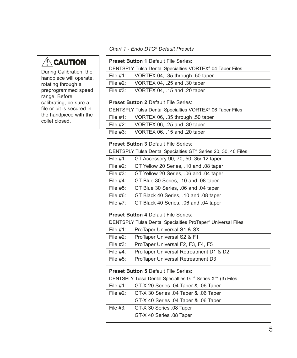# $\triangle$ CAUTION

During Calibration, the handpiece will operate, rotating through a preprogrammed speed range. Before calibrating, be sure a file or bit is secured in the handpiece with the collet closed.

### *Chart 1 - Endo DTC® Default Presets*

|                                             | <b>Preset Button 1 Default File Series:</b>                   |  |
|---------------------------------------------|---------------------------------------------------------------|--|
|                                             | DENTSPLY Tulsa Dental Specialties VORTEX® 04 Taper Files      |  |
| File $#1$ :                                 | VORTEX 04, .35 through .50 taper                              |  |
| File #2:                                    | VORTEX 04, .25 and .30 taper                                  |  |
| File $#3$ :                                 | VORTEX 04, .15 and .20 taper                                  |  |
|                                             | <b>Preset Button 2 Default File Series:</b>                   |  |
|                                             | DENTSPLY Tulsa Dental Specialties VORTEX® 06 Taper Files      |  |
| File $#1$ :                                 | VORTEX 06, .35 through .50 taper                              |  |
| File #2:                                    | VORTEX 06, .25 and .30 taper                                  |  |
| File $#3$ :                                 | VORTEX 06, .15 and .20 taper                                  |  |
|                                             | <b>Preset Button 3 Default File Series:</b>                   |  |
|                                             | DENTSPLY Tulsa Dental Specialties GT® Series 20, 30, 40 Files |  |
| File $#1$ :                                 | GT Accessory 90, 70, 50, 35/.12 taper                         |  |
| File #2:                                    | GT Yellow 20 Series, .10 and .08 taper                        |  |
| File #3:                                    | GT Yellow 20 Series, .06 and .04 taper                        |  |
| File $#4$ :                                 | GT Blue 30 Series, .10 and .08 taper                          |  |
| File $#5$ :                                 | GT Blue 30 Series, .06 and .04 taper                          |  |
| File $#6$ :                                 | GT Black 40 Series, .10 and .08 taper                         |  |
| File $#7$ :                                 | GT Black 40 Series, .06 and .04 taper                         |  |
|                                             | <b>Preset Button 4 Default File Series:</b>                   |  |
|                                             | DENTSPLY Tulsa Dental Specialties ProTaper® Universal Files   |  |
| File #1:                                    | ProTaper Universal S1 & SX                                    |  |
| File #2:                                    | ProTaper Universal S2 & F1                                    |  |
| File $#3$ :                                 | ProTaper Universal F2, F3, F4, F5                             |  |
| File #4:                                    | ProTaper Universal Retreatment D1 & D2                        |  |
| File #5:                                    | ProTaper Universal Retreatment D3                             |  |
| <b>Preset Button 5 Default File Series:</b> |                                                               |  |
|                                             | DENTSPLY Tulsa Dental Specialties GT® Series X™ (3) Files     |  |
| File #1:                                    | GT-X 20 Series .04 Taper & .06 Taper                          |  |
| File #2:                                    | GT-X 30 Series .04 Taper & .06 Taper                          |  |
|                                             | GT-X 40 Series .04 Taper & .06 Taper                          |  |
| File #3:                                    | GT-X 30 Series .08 Taper                                      |  |
|                                             | GT-X 40 Series .08 Taper                                      |  |
|                                             |                                                               |  |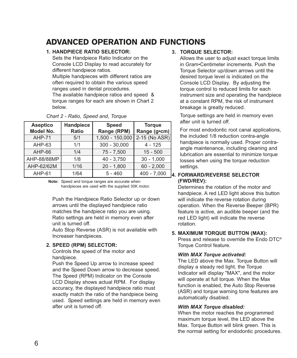# ADVANCED OPERATION AND FUNCTIONS

### **1. HANdPIECE RATIO SElECTOR:**

Sets the Handpiece Ratio Indicator on the Console LCD Display to read accurately for different handpiece ratios.

Multiple handpieces with different ratios are often required to obtain the various speed ranges used in dental procedures.

The available handpiece ratios and speed & torque ranges for each are shown in Chart 2 below.

| <b>Aseptico</b><br>Model No. | <b>Handpiece</b><br><b>Ratio</b> | <b>Speed</b><br>Range (RPM) | <b>Torque</b><br>Range (g•cm) |
|------------------------------|----------------------------------|-----------------------------|-------------------------------|
| <b>AHP-71</b>                | 5/1                              | 1,500 - 150,000             | 2-15 (No ASR)                 |
| AHP-63                       | 1/1                              | $300 - 30,000$              | $4 - 125$                     |
| $AHP-66$                     | 1/4                              | $75 - 7.500$                | $15 - 500$                    |
| AHP-88/88MP                  | 1/8                              | $40 - 3,750$                | $30 - 1,000$                  |
| AHP-62/62M                   | 1/16                             | $20 - 1,800$                | $60 - 2,000$                  |
| AHP-61                       | 1/64                             | $5 - 460$                   | $400 - 7,000$                 |

| Chart 2 - Ratio, Speed and, Torque |  |  |  |  |
|------------------------------------|--|--|--|--|
|------------------------------------|--|--|--|--|

**Note:** Speed and torque ranges are accurate when handpieces are used with the supplied 30K motor.

Push the Handpiece Ratio Selector up or down arrows until the displayed handpiece ratio matches the handpiece ratio you are using. Ratio settings are held in memory even after unit is turned off.

Auto Stop Reverse (ASR) is not available with Increaser handpieces.

### **2. SPEEd (RPM) SElECTOR:**

Controls the speed of the motor and handpiece.

Push the Speed Up arrow to increase speed and the Speed Down arrow to decrease speed. The Speed (RPM) Indicator on the Console LCD Display shows actual RPM. For display accuracy, the displayed handpiece ratio must exactly match the ratio of the handpiece being used. Speed settings are held in memory even after unit is turned off.

### **3. TORqUE SElECTOR:**

Allows the user to adjust exact torque limits in Gram•Centimeter increments. Push the Torque Selector up/down arrows until the desired torque level is indicated on the Console LCD Display. By adjusting the torque control to reduced limits for each instrument size and operating the handpiece at a constant RPM, the risk of instrument breakage is greatly reduced.

Torque settings are held in memory even after unit is turned off.

For most endodontic root canal applications, the included 1/8 reduction contra-angle handpiece is normally used. Proper contraangle maintenance, including cleaning and lubrication are essential to minimize torque losses when using the torque reduction settings.

### **4. FORWARd/REvERSE SElECTOR (FWd/REv):**

Determines the rotation of the motor and handpiece. A red LED light above this button will indicate the reverse rotation during operation. When the Reverse Beeper (BPR) feature is active, an audible beeper (and the red LED light) will indicate the reverse rotation.

### **5. MAxIMUM TORqUE BUTTON (MAx):**

Press and release to override the Endo DTC® Torque Control feature.

### *With MAX Torque activated:*

The LED above the Max. Torque Button will display a steady red light, the Torque Indicator will display "MAX", and the motor will operate at full torque. When the Max function is enabled, the Auto Stop Reverse (ASR) and torque warning tone features are automatically disabled.

### *With MAX Torque disabled:*

When the motor reaches the programmed maximum torque level, the LED above the Max. Torque Button will blink green. This is the normal setting for endodontic procedures.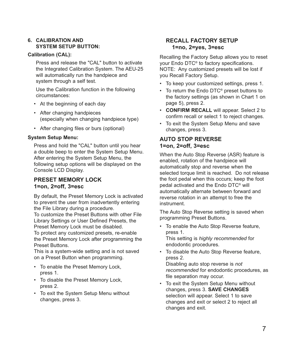### **6. CAlIBRATION ANd SySTEM SETUP BUTTON:**

### **Calibration (CAl):**

Press and release the "CAL" button to activate the Integrated Calibration System. The AEU-25 will automatically run the handpiece and system through a self test.

Use the Calibration function in the following circumstances:

- At the beginning of each day
- After changing handpieces (especially when changing handpiece type)
- After changing files or burs (optional)

### **System Setup Menu:**

Press and hold the "CAL" button until you hear a double beep to enter the System Setup Menu. After entering the System Setup Menu, the following setup options will be displayed on the Console LCD Display.

### **PRESET MEMORy lOCK 1=on, 2=off, 3=esc**

By default, the Preset Memory Lock is activated to prevent the user from inadvertently entering the File Library during a procedure.

To customize the Preset Buttons with other File Library Settings or User Defined Presets, the Preset Memory Lock must be disabled.

To protect any customized presets, re-enable the Preset Memory Lock after programming the Preset Buttons.

This is a system-wide setting and is not saved on a Preset Button when programming.

- To enable the Preset Memory Lock, press 1.
- To disable the Preset Memory Lock, press 2.
- To exit the System Setup Menu without changes, press 3.

### **RECAll FACTORy SETUP 1=no, 2=yes, 3=esc**

Recalling the Factory Setup allows you to reset your Endo DTC® to factory specifications. NOTE: Any customized presets will be lost if you Recall Factory Setup.

- To keep your customized settings, press 1.
- To return the Endo DTC® preset buttons to the factory settings (as shown in Chart 1 on page 5), press 2.
- **CONFIRM RECAll** will appear. Select 2 to confirm recall or select 1 to reject changes.
- To exit the System Setup Menu and save changes, press 3.

### **AUTO STOP REvERSE 1=on, 2=off, 3=esc**

When the Auto Stop Reverse (ASR) feature is enabled, rotation of the handpiece will automatically stop and reverse when the selected torque limit is reached. Do not release the foot pedal when this occurs; keep the foot pedal activated and the Endo DTC® will automatically alternate between forward and reverse rotation in an attempt to free the instrument.

The Auto Stop Reverse setting is saved when programming Preset Buttons.

- To enable the Auto Stop Reverse feature, press 1. This setting is *highly recommended* for endodontic procedures.
- To disable the Auto Stop Reverse feature, press 2.

Disabling auto stop reverse is *not recommended* for endodontic procedures, as file separation may occur.

• To exit the System Setup Menu without changes, press 3. **SAvE CHANGES** selection will appear. Select 1 to save changes and exit or select 2 to reject all changes and exit.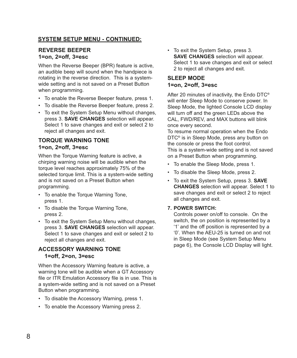### **SySTEM SETUP MENU - CONTINUEd:**

### **REvERSE BEEPER 1=on, 2=off, 3=esc**

When the Reverse Beeper (BPR) feature is active, an audible beep will sound when the handpiece is rotating in the reverse direction. This is a systemwide setting and is not saved on a Preset Button when programming.

- To enable the Reverse Beeper feature, press 1.
- To disable the Reverse Beeper feature, press 2.
- To exit the System Setup Menu without changes, press 3. **SAvE CHANGES** selection will appear. Select 1 to save changes and exit or select 2 to reject all changes and exit.

### **TORqUE WARNING TONE 1=on, 2=off, 3=esc**

When the Torque Warning feature is active, a chirping warning noise will be audible when the torque level reaches approximately 75% of the selected torque limit. This is a system-wide setting and is not saved on a Preset Button when programming.

- To enable the Torque Warning Tone, press 1.
- To disable the Torque Warning Tone, press 2.
- To exit the System Setup Menu without changes, press 3. **SAvE CHANGES** selection will appear. Select 1 to save changes and exit or select 2 to reject all changes and exit.

### **ACCESSORy WARNING TONE 1=off, 2=on, 3=esc**

When the Accessory Warning feature is active, a warning tone will be audible when a GT Accessory file or ITR Emulation Accessory file is in use. This is a system-wide setting and is not saved on a Preset Button when programming.

- To disable the Accessory Warning, press 1.
- To enable the Accessory Warning press 2.

• To exit the System Setup, press 3. **SAvE CHANGES** selection will appear. Select 1 to save changes and exit or select 2 to reject all changes and exit.

### **SlEEP MOdE 1=on, 2=off, 3=esc**

After 20 minutes of inactivity, the Endo DTC® will enter Sleep Mode to conserve power. In Sleep Mode, the lighted Console LCD display will turn off and the green LEDs above the CAL, FWD/REV, and MAX buttons will blink once every second.

To resume normal operation when the Endo DTC® is in Sleep Mode, press any button on the console or press the foot control. This is a system-wide setting and is not saved on a Preset Button when programming.

- To enable the Sleep Mode, press 1.
- To disable the Sleep Mode, press 2.
- To exit the System Setup, press 3. **SAvE CHANGES** selection will appear. Select 1 to save changes and exit or select 2 to reject all changes and exit.

### **7. POWER SWITCH:**

Controls power on/off to console. On the switch, the on position is represented by a '1' and the off position is represented by a '0'. When the AEU-25 is turned on and not in Sleep Mode (see System Setup Menu page 6), the Console LCD Display will light.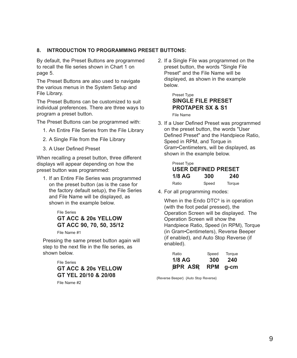### **8. INTROdUCTION TO PROGRAMMING PRESET BUTTONS:**

By default, the Preset Buttons are programmed to recall the file series shown in Chart 1 on page 5.

The Preset Buttons are also used to navigate the various menus in the System Setup and File Library.

The Preset Buttons can be customized to suit individual preferences. There are three ways to program a preset button.

The Preset Buttons can be programmed with:

- 1. An Entire File Series from the File Library
- 2. A Single File from the File Library
- 3. A User Defined Preset

When recalling a preset button, three different displays will appear depending on how the preset button was programmed:

1. If an Entire File Series was programmed on the preset button (as is the case for the factory default setup), the File Series and File Name will be displayed, as shown in the example below.

### File Series **GT ACC & 20s yEllOW GT ACC 90, 70, 50, 35/12**

File Name #1

Pressing the same preset button again will step to the next file in the file series, as shown below.

> File Series **GT ACC & 20s yEllOW GT yEl 20/10 & 20/08**

File Name #2

2. If a Single File was programmed on the preset button, the words "Single File Preset" and the File Name will be displayed, as shown in the example below.

> Preset Type **SINGlE FIlE PRESET PROTAPER Sx & S1**

File Name

3. If a User Defined Preset was programmed on the preset button, the words "User Defined Preset" and the Handpiece Ratio, Speed in RPM, and Torque in Gram•Centimeters, will be displayed, as shown in the example below.

| Preset Type         |       |        |
|---------------------|-------|--------|
| USER DEFINED PRESET |       |        |
| $1/8$ AG            | 300   | 240    |
| Ratio               | Speed | Torque |

4. For all programming modes:

When in the Endo DTC<sup>®</sup> is in operation (with the foot pedal pressed), the Operation Screen will be displayed. The Operation Screen will show the Handpiece Ratio, Speed (in RPM), Torque (in Gram•Centimeters), Reverse Beeper (if enabled), and Auto Stop Reverse (if enabled).

| Ratio          | Speed      | Torque |
|----------------|------------|--------|
| $1/8$ AG       | 300        | 240    |
| <b>BPR ASR</b> | <b>RPM</b> | g-cm   |

{Reverse Beeper} {Auto Stop Reverse}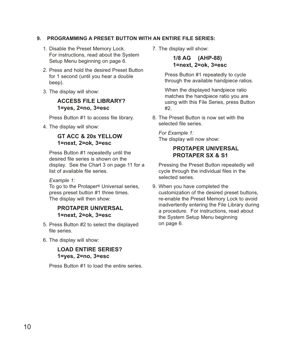### **9. PROGRAMMING A PRESET BUTTON WITH AN ENTIRE FIlE SERIES:**

- 1. Disable the Preset Memory Lock. For instructions, read about the System Setup Menu beginning on page 6.
- 2. Press and hold the desired Preset Button for 1 second (until you hear a double beep).
- 3. The display will show:

### **ACCESS FIlE lIBRARy? 1=yes, 2=no, 3=esc**

Press Button #1 to access file library.

4. The display will show:

### **GT ACC & 20s yEllOW 1=next, 2=ok, 3=esc**

Press Button #1 repeatedly until the desired file series is shown on the display. See the Chart 3 on page 11 for a list of available file series.

### *Example 1:*

To go to the Protaper® Universal series, press preset button #1 three times. The display will then show:

### **PROTAPER UNIvERSAl 1=next, 2=ok, 3=esc**

- 5. Press Button #2 to select the displayed file series.
- 6. The display will show:

### **lOAd ENTIRE SERIES? 1=yes, 2=no, 3=esc**

Press Button #1 to load the entire series.

7. The display will show:

**1/8 AG (AHP-88) 1=next, 2=ok, 3=esc**

Press Button #1 repeatedly to cycle through the available handpiece ratios.

When the displayed handpiece ratio matches the handpiece ratio you are using with this File Series, press Button #2.

8. The Preset Button is now set with the selected file series.

*For Example 1:* The display will now show:

### **PROTAPER UNIvERSAl PROTAPER Sx & S1**

Pressing the Preset Button repeatedly will cycle through the individual files in the selected series.

9. When you have completed the customization of the desired preset buttons, re-enable the Preset Memory Lock to avoid inadvertently entering the File Library during a procedure. For instructions, read about the System Setup Menu beginning on page 6.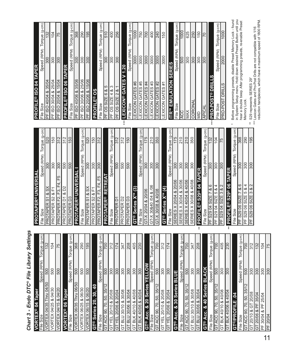# Chart 3 - Endo DTC® File Library Settings *Chart 3 - Endo DTC® File Library Settings*

| lape<br>$\overline{a}$<br><b>VORTEX®</b>                            |                  |                                    | ΕÉ                                                           |
|---------------------------------------------------------------------|------------------|------------------------------------|--------------------------------------------------------------|
| Size<br>e<br>⊡                                                      | (RPM)<br>Speed   | ξ<br>Torque (g                     |                                                              |
| Thru 04/50<br>04/35<br>/ORTEX                                       | 500              | 132                                | 삝                                                            |
| VORTEX 04/25 & 04/30                                                | 500              | 104                                | E                                                            |
| VORTEX 04/15 & 04/20                                                | 500              | 75                                 |                                                              |
| Taper<br>VORTEX <sup>®</sup> 06                                     |                  |                                    | $E$ $E$                                                      |
| Size<br>e<br>⊔⊐                                                     | Speed (RPM)      | Torque (g-cm)                      | Ιř                                                           |
| <b>Thru 06/50</b><br>06/35<br><b>/ORTEX</b>                         | 500              | 368                                | Е                                                            |
| 06/30<br>∞<br>06/25<br>VORTEX                                       | 500              | $\frac{290}{195}$                  | 置                                                            |
| 06/20<br>∣∞<br>06/15<br>VORTEX                                      | 500              |                                    |                                                              |
| 20, 30, 40<br><b>GT®</b> Series                                     |                  |                                    | $ \tilde{\mathbb{E}} \tilde{\mathbb{E}} \tilde{\mathbb{E}} $ |
| File Size                                                           | Speed (RPM)      | Torque (g-cm)                      |                                                              |
| $\frac{35}{1}$<br>50,<br>$\overline{70}$<br>90,<br><b>ACC</b><br>55 | 500              | 700                                | Е                                                            |
| 20/08<br>య<br>20/10<br>YEL<br>5                                     | 300              | 312                                | 罡                                                            |
| 20/04<br>∞<br>20/06<br>YEL<br>$\overline{5}$                        | 300              | 174                                | $ \tilde{\mathbb{E}} $                                       |
| 30/08<br>30/10 &<br><b>BLU</b><br>$\overline{5}$                    | 300              | 347                                | $ \tilde{\mathbb{E}} \tilde{\mathbb{E}} $                    |
| 30/04<br>∞<br>30/06<br><b>GT BLU</b>                                | 300              | 208                                |                                                              |
| 40/08<br>ఱ<br>40/10<br><b>BLK</b><br>5                              | 300              | 405                                | Iō                                                           |
| 40/04<br>∞<br>40/06<br><b>BLK</b><br>5h                             | 300              | $\frac{230}{25}$                   |                                                              |
| 20 Series<br>Acc. &<br>⊚<br>5                                       | ELLO             |                                    | 1하                                                           |
| $\overline{\text{Size}}$<br>ΞÊ                                      | Speed (RPM)      | Torque (g-cm                       | 하이                                                           |
| 50, 35/1<br>$\overline{70}$<br>$\overline{90}$<br>ACC<br>5          | 500              | 700                                |                                                              |
| 20/08<br>య<br>20/10<br>λĒΓ<br>5                                     | 300              | 312                                | 히                                                            |
| 20/04<br>∣∞<br>20/06<br>同<br>15                                     | $\frac{1}{300}$  | 174                                |                                                              |
| 30 Series<br>ಳ<br><b>GT®Acc.</b>                                    | <b>BLUE</b>      |                                    | ij예෩                                                         |
| Size<br>iιθ                                                         | Speed (RPM)      | Torque (g-cm)                      |                                                              |
| ACC 90, 70, 50, 35/12<br>5                                          | $\overline{500}$ | 700                                |                                                              |
| 30/08<br>30/10 &<br><b>BLU</b><br>5                                 | 300              | 347                                | $\frac{1}{2}$                                                |
| 30/04<br>$30/06$ & $3$<br><b>DTB</b><br>등                           | $\frac{1}{300}$  | $\frac{8}{200}$                    | $\stackrel{*}{*}$                                            |
| GT® Acc. & 40 Series                                                | <b>ACK</b><br>딞  |                                    | 운논                                                           |
| Size<br>$\frac{1}{2}$                                               | Speed (RPM)      | $\frac{\text{Torque (g-cm)}}{700}$ |                                                              |
| 35/12<br>ခြ<br>R.<br> ္တ<br><b>ACC</b><br>히                         | 500              |                                    | 出                                                            |
| 40/08<br>∞<br>40/10<br><b>BLK</b><br>5                              | 300              | 405                                | 出                                                            |
| BLK 40/06 & 40/04<br><b>GT</b>                                      | $\frac{1}{300}$  | 230                                | 띥<br>$\stackrel{*}{*}$                                       |
| $\overline{a}$<br><b>GT®/PROFILE</b>                                |                  |                                    | Ĕ                                                            |
| Size<br>ΞÊ                                                          | Speed (RPM)      | Torque (g-cm)                      | 풀                                                            |
| Ξ<br>နြ<br>50,<br> S<br>ခြ<br><b>ACC</b><br>ō                       | 500              | 700                                |                                                              |
| 20/08<br>5<br>య<br>20/10<br>5                                       | 300              | 312                                | 논                                                            |
| 35/04<br>눕<br>!∞ర,<br>20/06<br>15                                   | ခြ               | $\sqrt{32}$                        |                                                              |
| 25/04<br>눈<br>∞<br>30/04<br>出                                       | 300              | 104                                |                                                              |
| 20/04<br>l出                                                         | ခြွ              | $\frac{5}{15}$                     |                                                              |

| <b>PROTAPER®UNIVERSAI</b>                                                |                              |                    |
|--------------------------------------------------------------------------|------------------------------|--------------------|
| File Size                                                                | Speed (RPM)                  | Torque (g-cm)      |
| $ \%$<br>∞ర<br>$\overline{\widetilde{\infty}}$<br><b>PROTAPER</b>        | 300                          | 520                |
| Ě<br>∞<br>S2<br>PROTAPER                                                 | 300                          | 150                |
| မြို့<br>F4,<br>E3,<br>PROTAPER <sub>F2</sub>                            | $\frac{1}{300}$              | 312                |
| `Q<br>∞<br>PROTAPER D1                                                   | 500                          | $\frac{1}{312}$    |
| <b>PROTAPER D3</b>                                                       | 500                          | $\frac{150}{ }$    |
| <b>PROTAPER®UNIVER</b>                                                   |                              |                    |
| Size<br>e⊪                                                               | Speed (RPM)                  | $(g-cm)$<br>Torque |
| PROTAPER S1 & SX                                                         | $\frac{1}{300}$              | $\overline{520}$   |
| PROTAPER S2 & F1                                                         | 300                          | 150                |
| F5<br>F3, F4,<br>PROTAPER <sub>F2</sub>                                  | $\frac{1}{300}$              | 312                |
| <b>PROTAPER® RETREAT</b>                                                 |                              |                    |
| File Size                                                                | Speed (RPM)                  | Torque (g-cm)      |
| PROTAPER D1                                                              | 500                          | $\frac{12}{312}$   |
| PROTAPER <sub>D2</sub>                                                   | 500                          | 312                |
| PROTAPER <sub>D3</sub>                                                   | 500                          | $\overline{150}$   |
| GT <sup>®</sup> Series X <sup>™</sup> (3)                                |                              |                    |
| File Size                                                                | Speed (RPM)                  | Torque (g-cm)      |
| GT-X 20/04 & 20/06                                                       | 300                          | 175                |
| 30&40 /04 & /06<br>ST-X                                                  | $\frac{300}{200}$            | 210                |
| GT-X 30/08 & 40/08                                                       | $\frac{1}{2}$                | $rac{350}{250}$    |
| GT <sup>®</sup> Series X <sup>™</sup> (4)                                |                              |                    |
| File Size                                                                | Speed (RPM)                  | Torque (g-cm)      |
| 20/06<br>∞<br>20/04<br><b>SERIES X</b>                                   | 300                          | 175                |
| 30/06<br>త<br>30/04<br><b>SERIES X</b>                                   | 300                          | 210                |
| 40/06<br>య<br>40/04<br><b>SERIES X</b>                                   | 300                          | 210                |
| 40/08<br>∞<br>30/08<br><b>SERIES X</b>                                   | 300                          | 350                |
| ō<br><b>529®04</b><br>$\frac{1}{2}$<br>PROFIL                            | œ                            |                    |
| Size<br>File                                                             | Speed (RPM)                  | Torque (g-cm)      |
| <br>ब<br>⊢<br><b>SIZE</b><br>S2904<br>出                                  | $\overline{\frac{300}{200}}$ | ဗြဲ                |
| 4<br>త<br>Б<br><b>SIZE</b><br>S2904<br>눈                                 | 300                          | 104                |
| $\sim$<br>∣∞<br> ო<br><b>SIZE</b><br>S2904<br>出                          | $\frac{300}{500}$            | $\frac{5}{15}$     |
| <b>TAPER</b><br>S29 <sup>®</sup> 06<br>$\overline{\mathbb{E}}$<br>PROFIL |                              |                    |
| Size<br>$\frac{1}{2}$                                                    | (RPM)<br>Speed               | $(g-cm)$<br>Torque |
| ಜ<br> <br>ನ<br>⊩<br><b>BZIS</b><br>S2906<br>出                            | 300                          | 368                |
| 4<br>∞<br>5<br><b>SIZE</b><br>ျွ<br>န္တြ<br>١Ł                           | 300                          | န္တြ               |
| $\sim$<br>∣∞<br> ო<br><b>SIZE</b><br>S29 06 3<br>出                       | $\frac{1}{300}$              | $\frac{195}{20}$   |

|       | <b>PROFILE® ISO 04 TAPER</b>                                          |                  |                    |
|-------|-----------------------------------------------------------------------|------------------|--------------------|
|       | File Size                                                             | Speed (RPM)      | Torque (g-cm)      |
|       | PF ISO 40/04 & 35/04                                                  | 300              | 132                |
|       | PF ISO 30/04 & 25/04                                                  | 300              | 104                |
|       | 15/04<br>20/04 &<br>PF ISO                                            | 300              | 75                 |
|       | PROFILE® ISO 06 TAPEI                                                 | œ                |                    |
|       | File Size                                                             | Speed (RPM)      | Torque (g-cm)      |
|       | ISO 40/06 & 35/06<br>냄                                                | $\overline{300}$ | 368                |
|       | 25/06<br>∞<br>30/06<br>I <sub>SO</sub><br>눕                           | 300              | 290                |
|       | 5/06<br>$\overline{ }$<br>ళ<br>20/06<br>ISO<br>눕                      | 300              | 195                |
|       | <b>PROFILE®OS</b>                                                     |                  |                    |
|       | Size<br>e⊪                                                            | (RPM)<br>Speed   | $(g-cm)$<br>Torque |
|       | 5<br>∣∞<br>$\circ$<br><b>SIZE</b><br>8<br>뻔                           | 300              | 510                |
|       | က<br>య<br>4<br><b>SIZE</b><br>SO<br>눕                                 | 300              | 400                |
|       | $\overline{\phantom{0}}$<br>$\frac{8}{2}$<br>SIZE<br>PF <sub>OS</sub> | 300              | 256                |
| $***$ | EXICON <sup>®</sup> GATES                                             | 1.20             |                    |
|       | Size<br>$\frac{9}{11}$                                                | Speed (RPM)      | Torque (g-cm)      |
|       | #6<br>EXICON GATES                                                    | 3000             | 1000               |
|       | GATES#5<br>EXICON                                                     | 3000             | 750                |
|       | EXICON GATES #4                                                       | 3000             | 700                |
|       | EXICON GATES #3                                                       | 3000             | 400                |
|       | EXICON GATES #2                                                       | 3000             | 240                |
|       | EXICON GATES #1                                                       | 3000             | 150                |
|       | <b>TRT<sup>M</sup> EMULATION SERIES</b>                               |                  |                    |
|       | Size<br>e<br>i⊥                                                       | Speed (RPM)      | Torque (g-cm)      |
|       | ACC                                                                   | 500              | 1000               |
|       | MAX                                                                   | 300              | 625                |
|       | CORONAL                                                               | 300              | 250                |
|       | $\frac{1}{2}$                                                         | 300              | 150                |
|       | APICAL                                                                | 300              | 20                 |
| ***   | <b>PRO-POST® DRILLS</b>                                               |                  |                    |
|       | File Size                                                             | Speed (RPM)      | Torque (g-cm)      |
|       | <b>PRO-POST DRILLS</b>                                                | 2000             | 1000               |
|       |                                                                       |                  |                    |

Before programming presets, disable Preset Memoy Lock - found<br>in System Setup menu. Hold down desired Preset Button until you<br>hear a double beep. After programming presets, re-enable Preset<br>Memory Lock. \* Before programming presets, disable Preset Memory Lock - found in System Setup menu. Hold down desired Preset Button until you hear a double beep. After programming presets, re-enable Preset Memory Lock.  $_{\ast}$ 

\*\* S29 represents SERIES 29

\*\* \$29 represents SERIES 29"<br>\*\*\* Lexicon Gates and Pro-Post Drills are not compatible with 1/16<br>reduction handpieces, which have a maximum speed of 1800 RPM. reduction handpieces, which have a maximum speed of 1800 RPM. \*\*\* Lexicon Gates and Pro-Post Drills are not compatible with 1/16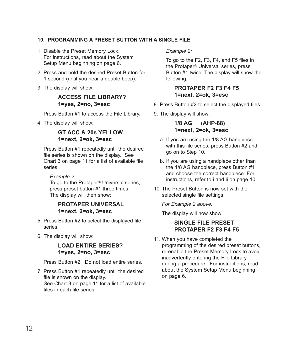### **10. PROGRAMMING A PRESET BUTTON WITH A SINGlE FIlE**

- 1. Disable the Preset Memory Lock. For instructions, read about the System Setup Menu beginning on page 6.
- 2. Press and hold the desired Preset Button for 1 second (until you hear a double beep).
- 3. The display will show:

### **ACCESS FIlE lIBRARy? 1=yes, 2=no, 3=esc**

Press Button #1 to access the File Library.

4. The display will show:

### **GT ACC & 20s yEllOW 1=next, 2=ok, 3=esc**

Press Button #1 repeatedly until the desired file series is shown on the display. See Chart 3 on page 11 for a list of available file series.

### *Example 2:*

To go to the Protaper® Universal series, press preset button #1 three times. The display will then show:

### **PROTAPER UNIvERSAl 1=next, 2=ok, 3=esc**

- 5. Press Button #2 to select the displayed file series.
- 6. The display will show:

### **lOAd ENTIRE SERIES? 1=yes, 2=no, 3=esc**

Press Button #2. Do not load entire series.

7. Press Button #1 repeatedly until the desired file is shown on the display.

See Chart 3 on page 11 for a list of available files in each file series.

### *Example 2:*

To go to the F2, F3, F4, and F5 files in the Protaper® Universal series, press Button #1 twice. The display will show the following:

### **PROTAPER F2 F3 F4 F5 1=next, 2=ok, 3=esc**

- 8. Press Button #2 to select the displayed files.
- 9. The display will show:

**1/8 AG (AHP-88) 1=next, 2=ok, 3=esc**

- a. If you are using the 1/8 AG handpiece with this file series, press Button #2 and go on to Step 10.
- b. If you are using a handpiece other than the 1/8 AG handpiece, press Button #1 and choose the correct handpiece. For instructions, refer to i and ii on page 10.
- 10. The Preset Button is now set with the selected single file settings.

*For Example 2 above:*

The display will now show:

### **SINGlE FIlE PRESET PROTAPER F2 F3 F4 F5**

11. When you have completed the programming of the desired preset buttons, re-enable the Preset Memory Lock to avoid inadvertently entering the File Library during a procedure. For instructions, read about the System Setup Menu beginning on page 6.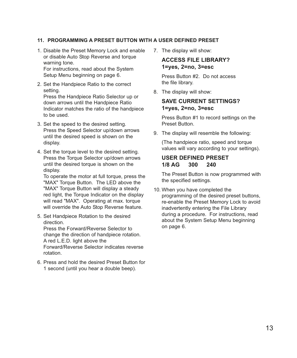### **11. PROGRAMMING A PRESET BUTTON WITH A USER dEFINEd PRESET**

- 1. Disable the Preset Memory Lock and enable or disable Auto Stop Reverse and torque warning tone. For instructions, read about the System Setup Menu beginning on page 6.
- 2. Set the Handpiece Ratio to the correct setting. Press the Handpiece Ratio Selector up or down arrows until the Handpiece Ratio Indicator matches the ratio of the handpiece to be used.
- 3. Set the speed to the desired setting. Press the Speed Selector up/down arrows until the desired speed is shown on the display.
- 4. Set the torque level to the desired setting. Press the Torque Selector up/down arrows until the desired torque is shown on the display.

To operate the motor at full torque, press the "MAX" Torque Button. The LED above the "MAX" Torque Button will display a steady red light, the Torque Indicator on the display will read "MAX". Operating at max. torque will override the Auto Stop Reverse feature.

- 5. Set Handpiece Rotation to the desired direction. Press the Forward/Reverse Selector to change the direction of handpiece rotation. A red L.E.D. light above the Forward/Reverse Selector indicates reverse rotation.
- 6. Press and hold the desired Preset Button for 1 second (until you hear a double beep).

7. The display will show:

### **ACCESS FIlE lIBRARy? 1=yes, 2=no, 3=esc**

Press Button #2. Do not access the file library.

8. The display will show:

### **SAvE CURRENT SETTINGS? 1=yes, 2=no, 3=esc**

Press Button #1 to record settings on the Preset Button.

9. The display will resemble the following:

(The handpiece ratio, speed and torque values will vary according to your settings).

### **USER dEFINEd PRESET 1/8 AG 300 240**

The Preset Button is now programmed with the specified settings.

10. When you have completed the programming of the desired preset buttons, re-enable the Preset Memory Lock to avoid inadvertently entering the File Library during a procedure. For instructions, read about the System Setup Menu beginning on page 6.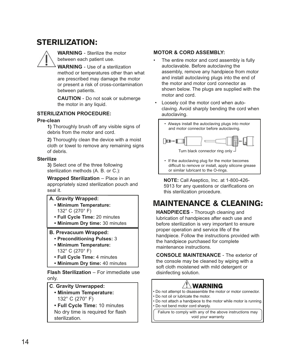# STERILIZATION:

**WARNING** - Sterilize the motor between each patient use.

**WARNING** - Use of a sterilization method or temperatures other than what are prescribed may damage the motor or present a risk of cross-contamination between patients.

**CAUTION** - Do not soak or submerge the motor in any liquid.

### **STERIlIZATION PROCEdURE:**

### **Pre-clean**

**1)** Thoroughly brush off any visible signs of debris from the motor and cord.

**2)** Thoroughly clean the device with a moist cloth or towel to remove any remaining signs of debris.

### **Sterilize**

**3)** Select one of the three following sterilization methods (A. B. or C.):

**Wrapped Sterilization** – Place in an

appropriately sized sterilization pouch and seal it.

### **A. Gravity Wrapped:**

- **Minimum Temperature:** 132° C (270° F)
- **Full Cycle Time:** 20 minutes
- **Minimum dry time:** 30 minutes

### **B. Prevacuum Wrapped:**

- **Preconditioning Pulses:** 3
- **Minimum Temperature:** 132° C (270° F)
- **Full Cycle Time:** 4 minutes
- **Minimum dry time:** 40 minutes

**Flash Sterilization** – For immediate use only.

### **C**. **Gravity Unwrapped:**

**• Minimum Temperature:** 132° C (270° F)

**• Full Cycle Time:** 10 minutes No dry time is required for flash sterilization.

### **MOTOR & CORd ASSEMBly:**

- The entire motor and cord assembly is fully autoclavable. Before autoclaving the assembly, remove any handpiece from motor and install autoclaving plugs into the end of the motor and motor cord connector as shown below. The plugs are supplied with the motor and cord.
- Loosely coil the motor cord when autoclaving. Avoid sharply bending the cord when autoclaving.



• If the autoclaving plug for the motor becomes difficult to remove or install, apply silicone grease or similar lubricant to the O-rings.

**NOTE:** Call Aseptico, Inc. at 1-800-426- 5913 for any questions or clarifications on this sterilization procedure.

# MAINTENANCE & CLEANING:

**HANdPIECES** - Thorough cleaning and lubrication of handpieces after each use and before sterilization is very important to ensure proper operation and service life of the handpiece. Follow the instructions provided with the handpiece purchased for complete maintenance instructions.

**CONSOlE MAINTENANCE** - The exterior of the console may be cleaned by wiping with a soft cloth moistened with mild detergent or disinfecting solution.

# WARNING

- Do not attempt to disassemble the motor or motor connector.
- Do not oil or lubricate the motor.
- Do not attach a handpiece to the motor while motor is running. • Do not bend motor cord sharply.

Failure to comply with any of the above instructions may void your warranty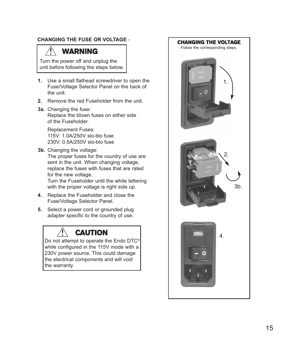### **CHANGING THE FUSE OR vOlTAGE** -

# **WARNING**

Turn the power off and unplug the unit before following the steps below.

- **1.** Use a small flathead screwdriver to open the Fuse/Voltage Selector Panel on the back of the unit.
- **2.** Remove the red Fuseholder from the unit.
- **3a.** Changing the fuse: Replace the blown fuses on either side of the Fuseholder.

Replacement Fuses: 115V: 1.0A/250V slo-blo fuse 230V: 0.5A/250V slo-blo fuse

**3b.** Changing the voltage:

The proper fuses for the country of use are sent in the unit. When changing voltage, replace the fuses with fuses that are rated for the new voltage.

Turn the Fuseholder until the white lettering with the proper voltage is right side up.

- **4.** Replace the Fuseholder and close the Fuse/Voltage Selector Panel.
- **5.** Select a power cord or grounded plug adapter specific to the country of use.

# **CAUTION**

Do not attempt to operate the Endo DTC® while configured in the 115V mode with a 230V power source. This could damage the electrical components and will void the warranty.

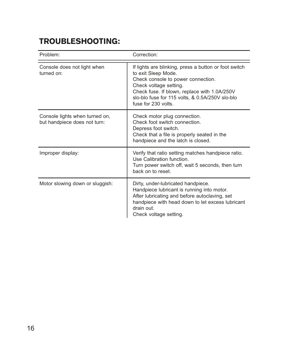# TROUBLESHOOTING:

| Problem:                                                       | Correction:                                                                                                                                                                                                                                                            |
|----------------------------------------------------------------|------------------------------------------------------------------------------------------------------------------------------------------------------------------------------------------------------------------------------------------------------------------------|
| Console does not light when<br>turned on:                      | If lights are blinking, press a button or foot switch<br>to exit Sleep Mode.<br>Check console to power connection.<br>Check voltage setting.<br>Check fuse. If blown, replace with 1.0A/250V<br>slo-blo fuse for 115 volts, & 0.5A/250V slo-blo<br>fuse for 230 volts. |
| Console lights when turned on,<br>but handpiece does not turn: | Check motor plug connection.<br>Check foot switch connection.<br>Depress foot switch.<br>Check that a file is properly seated in the<br>handpiece and the latch is closed.                                                                                             |
| Improper display:                                              | Verify that ratio setting matches handpiece ratio.<br>Use Calibration function.<br>Turn power switch off, wait 5 seconds, then turn<br>back on to reset.                                                                                                               |
| Motor slowing down or sluggish:                                | Dirty, under-lubricated handpiece.<br>Handpiece lubricant is running into motor.<br>After lubricating and before autoclaving, set<br>handpiece with head down to let excess lubricant<br>drain out.<br>Check voltage setting.                                          |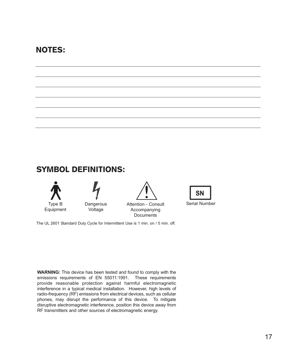# NOTES:

## SYMBOL DEFINITIONS:





Attention - Consult Accompanying **Documents** 



The UL 2601 Standard Duty Cycle for Intermittent Use is 1 min. on / 5 min. off.

**WARNING:** This device has been tested and found to comply with the emissions requirements of EN 55011:1991. These requirements provide reasonable protection against harmful electromagnetic interference in a typical medical installation. However, high levels of radio-frequency (RF) emissions from electrical devices, such as cellular phones, may disrupt the performance of this device. To mitigate disruptive electromagnetic interference, position this device away from RF transmitters and other sources of electromagnetic energy.